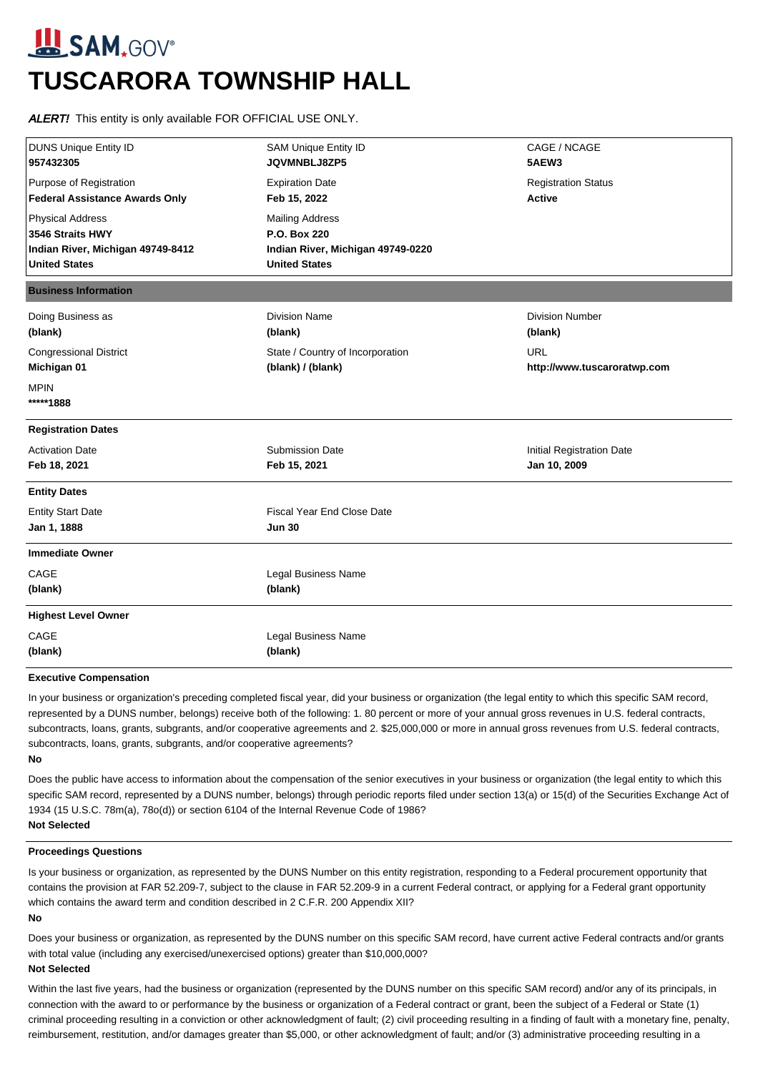# **SAM**, GOV® **TUSCARORA TOWNSHIP HALL**

ALERT! This entity is only available FOR OFFICIAL USE ONLY.

| <b>DUNS Unique Entity ID</b><br>957432305   | <b>SAM Unique Entity ID</b><br>JQVMNBLJ8ZP5 | CAGE / NCAGE<br>5AEW3       |
|---------------------------------------------|---------------------------------------------|-----------------------------|
| Purpose of Registration                     | <b>Expiration Date</b>                      | <b>Registration Status</b>  |
| <b>Federal Assistance Awards Only</b>       | Feb 15, 2022                                | <b>Active</b>               |
| <b>Physical Address</b><br>3546 Straits HWY | <b>Mailing Address</b><br>P.O. Box 220      |                             |
| Indian River, Michigan 49749-8412           | Indian River, Michigan 49749-0220           |                             |
| <b>United States</b>                        | <b>United States</b>                        |                             |
| <b>Business Information</b>                 |                                             |                             |
| Doing Business as                           | <b>Division Name</b>                        | <b>Division Number</b>      |
| (blank)                                     | (blank)                                     | (blank)                     |
| <b>Congressional District</b>               | State / Country of Incorporation            | <b>URL</b>                  |
| Michigan 01                                 | (blank) / (blank)                           | http://www.tuscaroratwp.com |
| <b>MPIN</b><br>*****1888                    |                                             |                             |
| <b>Registration Dates</b>                   |                                             |                             |
| <b>Activation Date</b>                      | <b>Submission Date</b>                      | Initial Registration Date   |
| Feb 18, 2021                                | Feb 15, 2021                                | Jan 10, 2009                |
| <b>Entity Dates</b>                         |                                             |                             |
| <b>Entity Start Date</b>                    | <b>Fiscal Year End Close Date</b>           |                             |
| Jan 1, 1888                                 | <b>Jun 30</b>                               |                             |
| <b>Immediate Owner</b>                      |                                             |                             |
| CAGE                                        | Legal Business Name                         |                             |
| (blank)                                     | (blank)                                     |                             |
| <b>Highest Level Owner</b>                  |                                             |                             |
| CAGE                                        | Legal Business Name                         |                             |
| (blank)                                     | (blank)                                     |                             |
|                                             |                                             |                             |

## **Executive Compensation**

In your business or organization's preceding completed fiscal year, did your business or organization (the legal entity to which this specific SAM record, represented by a DUNS number, belongs) receive both of the following: 1. 80 percent or more of your annual gross revenues in U.S. federal contracts, subcontracts, loans, grants, subgrants, and/or cooperative agreements and 2. \$25,000,000 or more in annual gross revenues from U.S. federal contracts, subcontracts, loans, grants, subgrants, and/or cooperative agreements? **No**

Does the public have access to information about the compensation of the senior executives in your business or organization (the legal entity to which this specific SAM record, represented by a DUNS number, belongs) through periodic reports filed under section 13(a) or 15(d) of the Securities Exchange Act of 1934 (15 U.S.C. 78m(a), 78o(d)) or section 6104 of the Internal Revenue Code of 1986? **Not Selected**

#### **Proceedings Questions**

Is your business or organization, as represented by the DUNS Number on this entity registration, responding to a Federal procurement opportunity that contains the provision at FAR 52.209-7, subject to the clause in FAR 52.209-9 in a current Federal contract, or applying for a Federal grant opportunity which contains the award term and condition described in 2 C.F.R. 200 Appendix XII? **No**

Does your business or organization, as represented by the DUNS number on this specific SAM record, have current active Federal contracts and/or grants with total value (including any exercised/unexercised options) greater than \$10,000,000?

## **Not Selected**

Within the last five years, had the business or organization (represented by the DUNS number on this specific SAM record) and/or any of its principals, in connection with the award to or performance by the business or organization of a Federal contract or grant, been the subject of a Federal or State (1) criminal proceeding resulting in a conviction or other acknowledgment of fault; (2) civil proceeding resulting in a finding of fault with a monetary fine, penalty, reimbursement, restitution, and/or damages greater than \$5,000, or other acknowledgment of fault; and/or (3) administrative proceeding resulting in a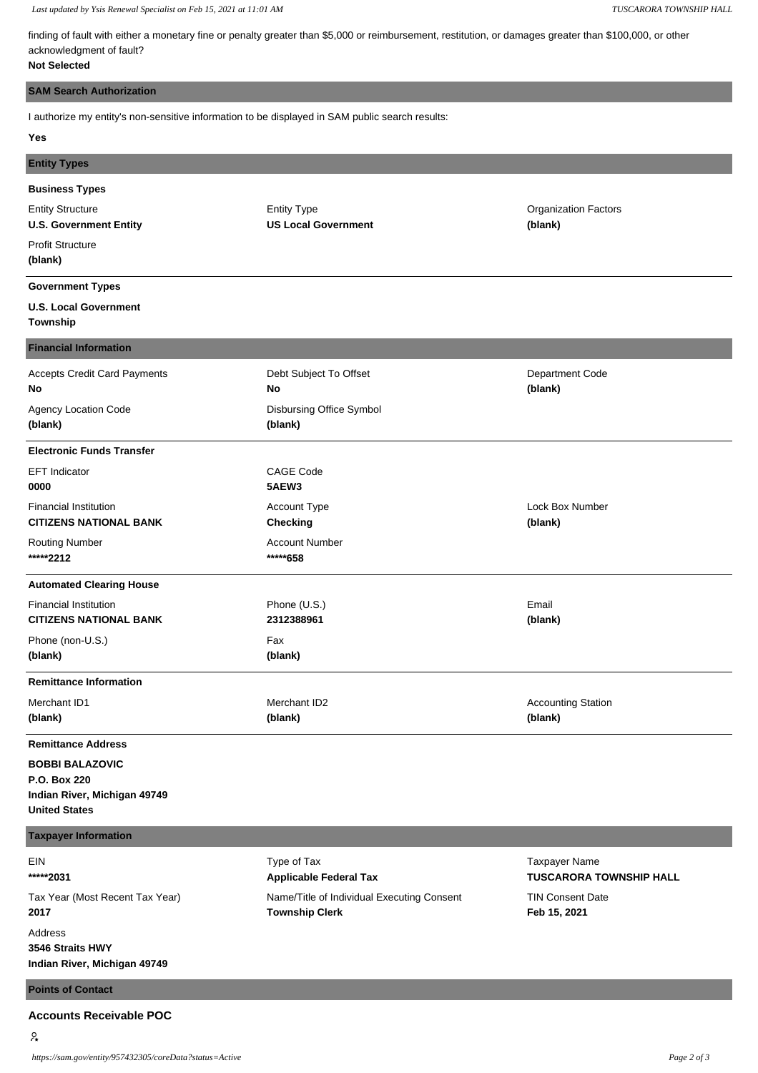*Last updated by Ysis Renewal Specialist on Feb 15, 2021 at 11:01 AM TUSCARORA TOWNSHIP HALL*

finding of fault with either a monetary fine or penalty greater than \$5,000 or reimbursement, restitution, or damages greater than \$100,000, or other acknowledgment of fault?

# **Not Selected**

#### **SAM Search Authorization**

I authorize my entity's non-sensitive information to be displayed in SAM public search results:

#### **Yes**

| <b>Entity Types</b>                                           |                                                  |                                        |
|---------------------------------------------------------------|--------------------------------------------------|----------------------------------------|
| <b>Business Types</b>                                         |                                                  |                                        |
| <b>Entity Structure</b><br><b>U.S. Government Entity</b>      | <b>Entity Type</b><br><b>US Local Government</b> | <b>Organization Factors</b><br>(blank) |
| <b>Profit Structure</b><br>(blank)                            |                                                  |                                        |
| <b>Government Types</b>                                       |                                                  |                                        |
| <b>U.S. Local Government</b><br>Township                      |                                                  |                                        |
| <b>Financial Information</b>                                  |                                                  |                                        |
| <b>Accepts Credit Card Payments</b><br>No                     | Debt Subject To Offset<br>No                     | Department Code<br>(blank)             |
| Agency Location Code<br>(blank)                               | Disbursing Office Symbol<br>(blank)              |                                        |
| <b>Electronic Funds Transfer</b>                              |                                                  |                                        |
| <b>EFT Indicator</b><br>0000                                  | <b>CAGE Code</b><br>5AEW3                        |                                        |
| <b>Financial Institution</b><br><b>CITIZENS NATIONAL BANK</b> | Account Type<br><b>Checking</b>                  | Lock Box Number<br>(blank)             |
| <b>Routing Number</b><br>*****2212                            | <b>Account Number</b><br>*****658                |                                        |
| <b>Automated Clearing House</b>                               |                                                  |                                        |
| <b>Financial Institution</b><br><b>CITIZENS NATIONAL BANK</b> | Phone (U.S.)<br>2312388961                       | Email<br>(blank)                       |
| Phone (non-U.S.)<br>(blank)                                   | Fax<br>(blank)                                   |                                        |
| <b>Remittance Information</b>                                 |                                                  |                                        |
| Merchant ID1<br>(blank)                                       | Merchant ID2<br>(blank)                          | <b>Accounting Station</b><br>(blank)   |
| <b>Remittance Address</b>                                     |                                                  |                                        |
| <b>BOBBI BALAZOVIC</b>                                        |                                                  |                                        |

**P.O. Box 220 Indian River, Michigan 49749 United States**

# **Taxpayer Information**

EIN **\*\*\*\*\*2031** Tax Year (Most Recent Tax Year) **2017** Address **3546 Straits HWY Indian River, Michigan 49749**

Type of Tax **Applicable Federal Tax** Name/Title of Individual Executing Consent **Township Clerk**

Taxpayer Name **TUSCARORA TOWNSHIP HALL** TIN Consent Date **Feb 15, 2021**

## **Points of Contact**

## **Accounts Receivable POC**